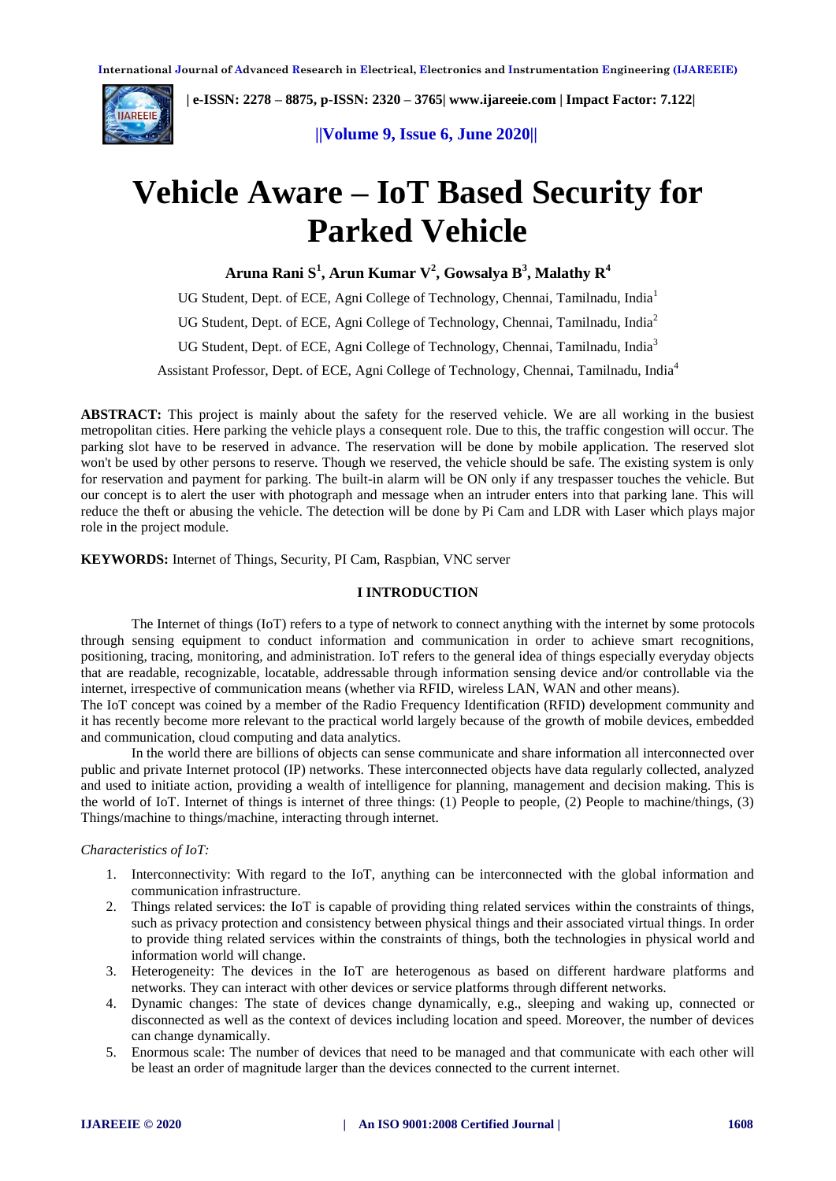

 **| e-ISSN: 2278 – 8875, p-ISSN: 2320 – 3765| [www.ijareeie.com](http://www.ijareeie.com/) | Impact Factor: 7.122|** 

 **||Volume 9, Issue 6, June 2020||** 

# **Vehicle Aware – IoT Based Security for Parked Vehicle**

**Aruna Rani S<sup>1</sup> , Arun Kumar V<sup>2</sup> , Gowsalya B<sup>3</sup> , Malathy R<sup>4</sup>**

UG Student, Dept. of ECE, Agni College of Technology, Chennai, Tamilnadu, India<sup>1</sup> UG Student, Dept. of ECE, Agni College of Technology, Chennai, Tamilnadu, India<sup>2</sup> UG Student, Dept. of ECE, Agni College of Technology, Chennai, Tamilnadu, India<sup>3</sup> Assistant Professor, Dept. of ECE, Agni College of Technology, Chennai, Tamilnadu, India<sup>4</sup>

**ABSTRACT:** This project is mainly about the safety for the reserved vehicle. We are all working in the busiest metropolitan cities. Here parking the vehicle plays a consequent role. Due to this, the traffic congestion will occur. The parking slot have to be reserved in advance. The reservation will be done by mobile application. The reserved slot won't be used by other persons to reserve. Though we reserved, the vehicle should be safe. The existing system is only for reservation and payment for parking. The built-in alarm will be ON only if any trespasser touches the vehicle. But our concept is to alert the user with photograph and message when an intruder enters into that parking lane. This will reduce the theft or abusing the vehicle. The detection will be done by Pi Cam and LDR with Laser which plays major role in the project module.

**KEYWORDS:** Internet of Things, Security, PI Cam, Raspbian, VNC server

## **I INTRODUCTION**

The Internet of things (IoT) refers to a type of network to connect anything with the internet by some protocols through sensing equipment to conduct information and communication in order to achieve smart recognitions, positioning, tracing, monitoring, and administration. IoT refers to the general idea of things especially everyday objects that are readable, recognizable, locatable, addressable through information sensing device and/or controllable via the internet, irrespective of communication means (whether via RFID, wireless LAN, WAN and other means).

The IoT concept was coined by a member of the Radio Frequency Identification (RFID) development community and it has recently become more relevant to the practical world largely because of the growth of mobile devices, embedded and communication, cloud computing and data analytics.

In the world there are billions of objects can sense communicate and share information all interconnected over public and private Internet protocol (IP) networks. These interconnected objects have data regularly collected, analyzed and used to initiate action, providing a wealth of intelligence for planning, management and decision making. This is the world of IoT. Internet of things is internet of three things: (1) People to people, (2) People to machine/things, (3) Things/machine to things/machine, interacting through internet.

## *Characteristics of IoT:*

- 1. Interconnectivity: With regard to the IoT, anything can be interconnected with the global information and communication infrastructure.
- 2. Things related services: the IoT is capable of providing thing related services within the constraints of things, such as privacy protection and consistency between physical things and their associated virtual things. In order to provide thing related services within the constraints of things, both the technologies in physical world and information world will change.
- 3. Heterogeneity: The devices in the IoT are heterogenous as based on different hardware platforms and networks. They can interact with other devices or service platforms through different networks.
- 4. Dynamic changes: The state of devices change dynamically, e.g., sleeping and waking up, connected or disconnected as well as the context of devices including location and speed. Moreover, the number of devices can change dynamically.
- 5. Enormous scale: The number of devices that need to be managed and that communicate with each other will be least an order of magnitude larger than the devices connected to the current internet.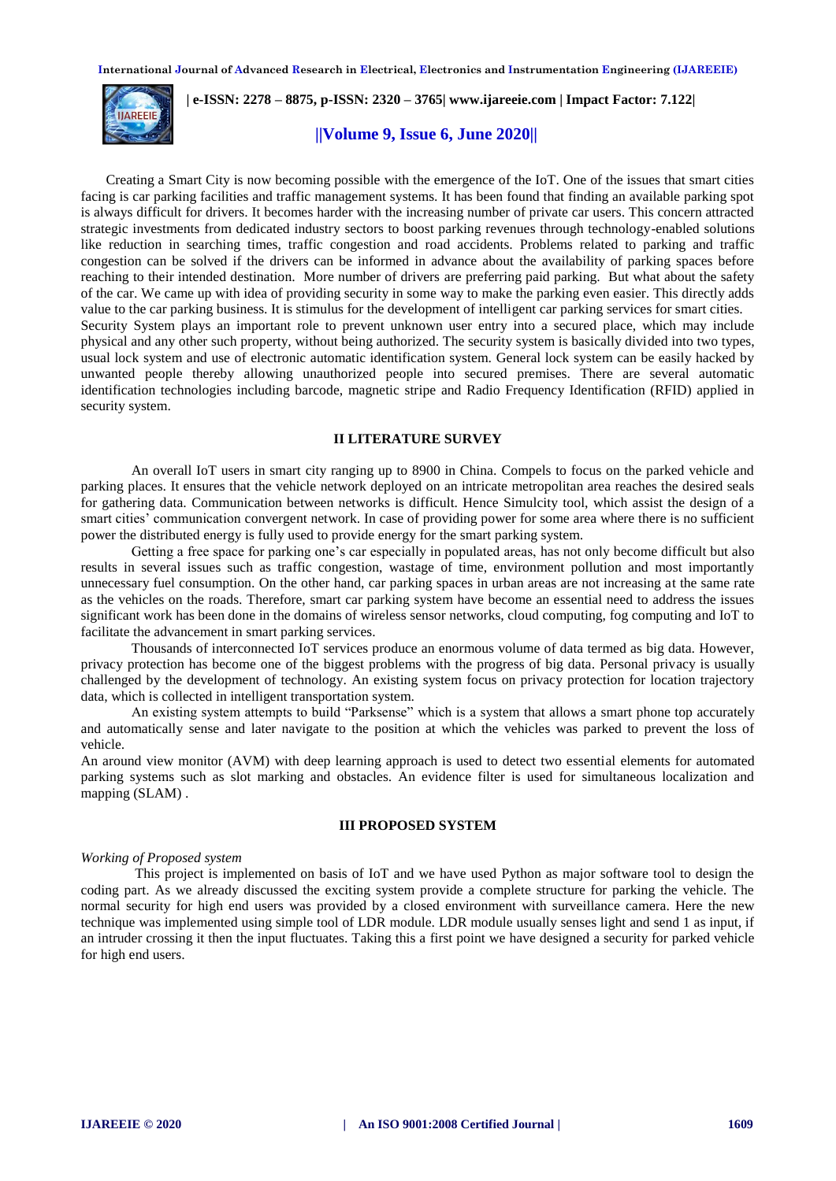

 **| e-ISSN: 2278 – 8875, p-ISSN: 2320 – 3765| [www.ijareeie.com](http://www.ijareeie.com/) | Impact Factor: 7.122|** 

# **||Volume 9, Issue 6, June 2020||**

Creating a Smart City is now becoming possible with the emergence of the IoT. One of the issues that smart cities facing is car parking facilities and traffic management systems. It has been found that finding an available parking spot is always difficult for drivers. It becomes harder with the increasing number of private car users. This concern attracted strategic investments from dedicated industry sectors to boost parking revenues through technology-enabled solutions like reduction in searching times, traffic congestion and road accidents. Problems related to parking and traffic congestion can be solved if the drivers can be informed in advance about the availability of parking spaces before reaching to their intended destination. More number of drivers are preferring paid parking. But what about the safety of the car. We came up with idea of providing security in some way to make the parking even easier. This directly adds value to the car parking business. It is stimulus for the development of intelligent car parking services for smart cities. Security System plays an important role to prevent unknown user entry into a secured place, which may include physical and any other such property, without being authorized. The security system is basically divided into two types, usual lock system and use of electronic automatic identification system. General lock system can be easily hacked by unwanted people thereby allowing unauthorized people into secured premises. There are several automatic identification technologies including barcode, magnetic stripe and Radio Frequency Identification (RFID) applied in security system.

# **II LITERATURE SURVEY**

An overall IoT users in smart city ranging up to 8900 in China. Compels to focus on the parked vehicle and parking places. It ensures that the vehicle network deployed on an intricate metropolitan area reaches the desired seals for gathering data. Communication between networks is difficult. Hence Simulcity tool, which assist the design of a smart cities' communication convergent network. In case of providing power for some area where there is no sufficient power the distributed energy is fully used to provide energy for the smart parking system.

Getting a free space for parking one's car especially in populated areas, has not only become difficult but also results in several issues such as traffic congestion, wastage of time, environment pollution and most importantly unnecessary fuel consumption. On the other hand, car parking spaces in urban areas are not increasing at the same rate as the vehicles on the roads. Therefore, smart car parking system have become an essential need to address the issues significant work has been done in the domains of wireless sensor networks, cloud computing, fog computing and IoT to facilitate the advancement in smart parking services.

Thousands of interconnected IoT services produce an enormous volume of data termed as big data. However, privacy protection has become one of the biggest problems with the progress of big data. Personal privacy is usually challenged by the development of technology. An existing system focus on privacy protection for location trajectory data, which is collected in intelligent transportation system.

An existing system attempts to build "Parksense" which is a system that allows a smart phone top accurately and automatically sense and later navigate to the position at which the vehicles was parked to prevent the loss of vehicle.

An around view monitor (AVM) with deep learning approach is used to detect two essential elements for automated parking systems such as slot marking and obstacles. An evidence filter is used for simultaneous localization and mapping (SLAM).

#### **III PROPOSED SYSTEM**

#### *Working of Proposed system*

This project is implemented on basis of IoT and we have used Python as major software tool to design the coding part. As we already discussed the exciting system provide a complete structure for parking the vehicle. The normal security for high end users was provided by a closed environment with surveillance camera. Here the new technique was implemented using simple tool of LDR module. LDR module usually senses light and send 1 as input, if an intruder crossing it then the input fluctuates. Taking this a first point we have designed a security for parked vehicle for high end users.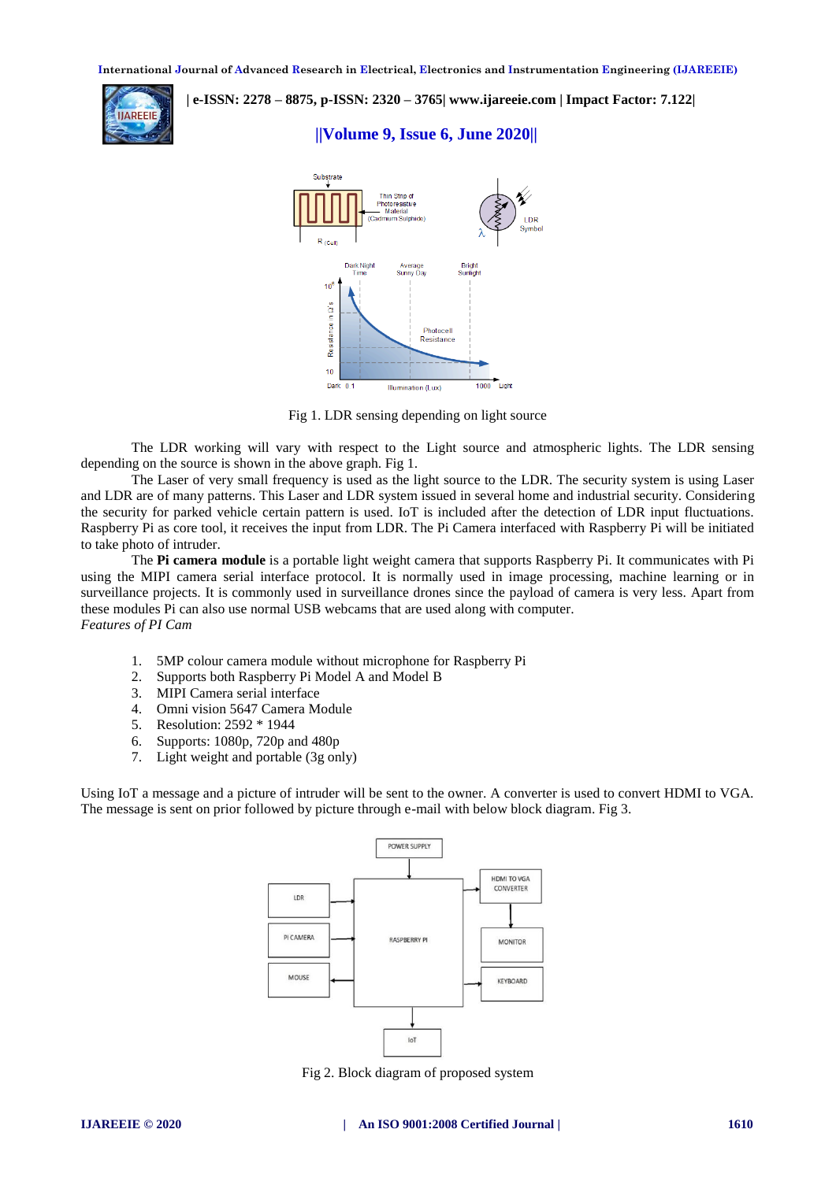

 **| e-ISSN: 2278 – 8875, p-ISSN: 2320 – 3765| [www.ijareeie.com](http://www.ijareeie.com/) | Impact Factor: 7.122|** 

# **||Volume 9, Issue 6, June 2020||**



Fig 1. LDR sensing depending on light source

The LDR working will vary with respect to the Light source and atmospheric lights. The LDR sensing depending on the source is shown in the above graph. Fig 1.

The Laser of very small frequency is used as the light source to the LDR. The security system is using Laser and LDR are of many patterns. This Laser and LDR system issued in several home and industrial security. Considering the security for parked vehicle certain pattern is used. IoT is included after the detection of LDR input fluctuations. Raspberry Pi as core tool, it receives the input from LDR. The Pi Camera interfaced with Raspberry Pi will be initiated to take photo of intruder.

The **Pi camera module** is a portable light weight camera that supports Raspberry Pi. It communicates with Pi using the MIPI camera serial interface protocol. It is normally used in image processing, machine learning or in surveillance projects. It is commonly used in surveillance drones since the payload of camera is very less. Apart from these modules Pi can also use normal USB webcams that are used along with computer. *Features of PI Cam*

- 1. 5MP colour camera module without microphone for [Raspberry Pi](https://components101.com/microcontrollers/raspberry-pi-3-pinout-features-datasheet)
- 2. Supports both Raspberry Pi Model A and Model B
- 3. MIPI Camera serial interface
- 4. Omni vision 5647 Camera Module
- 5. Resolution: 2592 \* 1944
- 6. Supports: 1080p, 720p and 480p
- 7. Light weight and portable (3g only)

Using IoT a message and a picture of intruder will be sent to the owner. A converter is used to convert HDMI to VGA. The message is sent on prior followed by picture through e-mail with below block diagram. Fig 3.



Fig 2. Block diagram of proposed system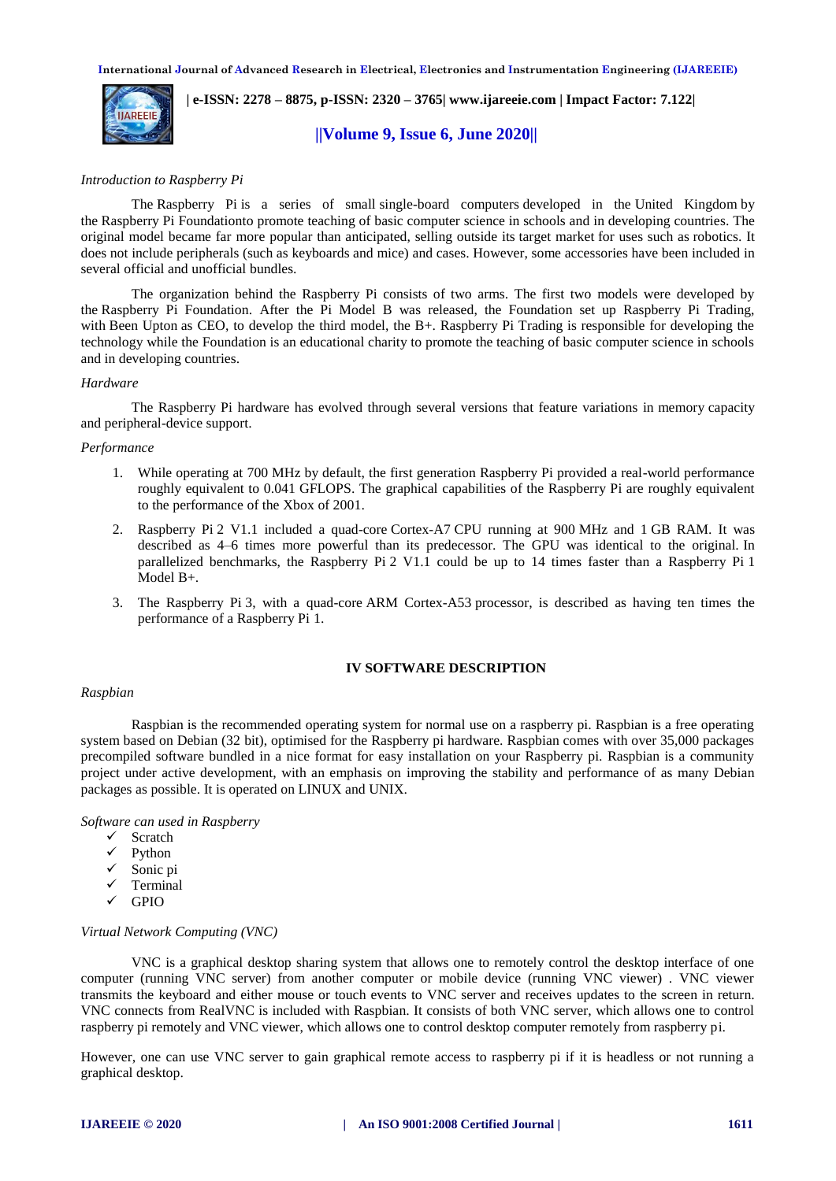

 **| e-ISSN: 2278 – 8875, p-ISSN: 2320 – 3765| [www.ijareeie.com](http://www.ijareeie.com/) | Impact Factor: 7.122|** 

# **||Volume 9, Issue 6, June 2020||**

## *Introduction to Raspberry Pi*

The Raspberry Pi is a series of small [single-board computers](https://en.wikipedia.org/wiki/Single-board_computer) developed in the [United Kingdom](https://en.wikipedia.org/wiki/United_Kingdom) by the [Raspberry Pi Foundationt](https://en.wikipedia.org/wiki/Raspberry_Pi_Foundation)o promote teaching of basic [computer science](https://en.wikipedia.org/wiki/Computer_science) in schools and in [developing countries.](https://en.wikipedia.org/wiki/Developing_countries) The original model became far more popular than anticipated, selling outside its [target market](https://en.wikipedia.org/wiki/Target_market) for uses such as [robotics.](https://en.wikipedia.org/wiki/Robotics) It does not include peripherals (such as [keyboards](https://en.wikipedia.org/wiki/Keyboard_(computing)) and [mice\)](https://en.wikipedia.org/wiki/Mouse_(computing)) and [cases.](https://en.wikipedia.org/wiki/Computer_case) However, some accessories have been included in several official and unofficial bundles.

The organization behind the Raspberry Pi consists of two arms. The first two models were developed by the [Raspberry Pi Foundation.](https://en.wikipedia.org/wiki/Raspberry_Pi_Foundation) After the Pi Model B was released, the Foundation set up Raspberry Pi Trading, with [Been Upton](https://en.wikipedia.org/wiki/Eben_Upton) as CEO, to develop the third model, the B+. Raspberry Pi Trading is responsible for developing the technology while the Foundation is an educational charity to promote the teaching of basic computer science in schools and in developing countries.

#### *Hardware*

The Raspberry Pi hardware has evolved through several versions that feature variations in [memory](https://en.wikipedia.org/wiki/Computer_memory) capacity and peripheral-device support.

#### *Performance*

- 1. While operating at 700 MHz by default, the first generation Raspberry Pi provided a real-world performance roughly equivalent to 0.041 [GFLOPS.](https://en.wikipedia.org/wiki/FLOPS) The graphical capabilities of the Raspberry Pi are roughly equivalent to the performance of the [Xbox](https://en.wikipedia.org/wiki/Xbox_(console)) of 2001.
- 2. Raspberry Pi 2 V1.1 included a quad-core [Cortex-A7](https://en.wikipedia.org/wiki/ARM_Cortex-A7) CPU running at 900 MHz and 1 GB RAM. It was described as 4–6 times more powerful than its predecessor. The GPU was identical to the original. In parallelized benchmarks, the Raspberry Pi 2 V1.1 could be up to 14 times faster than a Raspberry Pi 1 Model B+.
- 3. The Raspberry Pi 3, with a quad-core [ARM Cortex-A53](https://en.wikipedia.org/wiki/ARM_Cortex-A53) processor, is described as having ten times the performance of a Raspberry Pi 1.

# **IV SOFTWARE DESCRIPTION**

#### *Raspbian*

Raspbian is the recommended operating system for normal use on a raspberry pi. Raspbian is a free operating system based on Debian (32 bit), optimised for the Raspberry pi hardware. Raspbian comes with over 35,000 packages precompiled software bundled in a nice format for easy installation on your Raspberry pi. Raspbian is a community project under active development, with an emphasis on improving the stability and performance of as many Debian packages as possible. It is operated on LINUX and UNIX.

*Software can used in Raspberry* 

- $\checkmark$  Scratch
- $\checkmark$  Python
- $\checkmark$  Sonic pi
- $\checkmark$  Terminal
- $\sqrt{GPIO}$

#### *Virtual Network Computing (VNC)*

VNC is a graphical desktop sharing system that allows one to remotely control the desktop interface of one computer (running VNC server) from another computer or mobile device (running VNC viewer) . VNC viewer transmits the keyboard and either mouse or touch events to VNC server and receives updates to the screen in return. VNC connects from RealVNC is included with Raspbian. It consists of both VNC server, which allows one to control raspberry pi remotely and VNC viewer, which allows one to control desktop computer remotely from raspberry pi.

However, one can use VNC server to gain graphical remote access to raspberry pi if it is headless or not running a graphical desktop.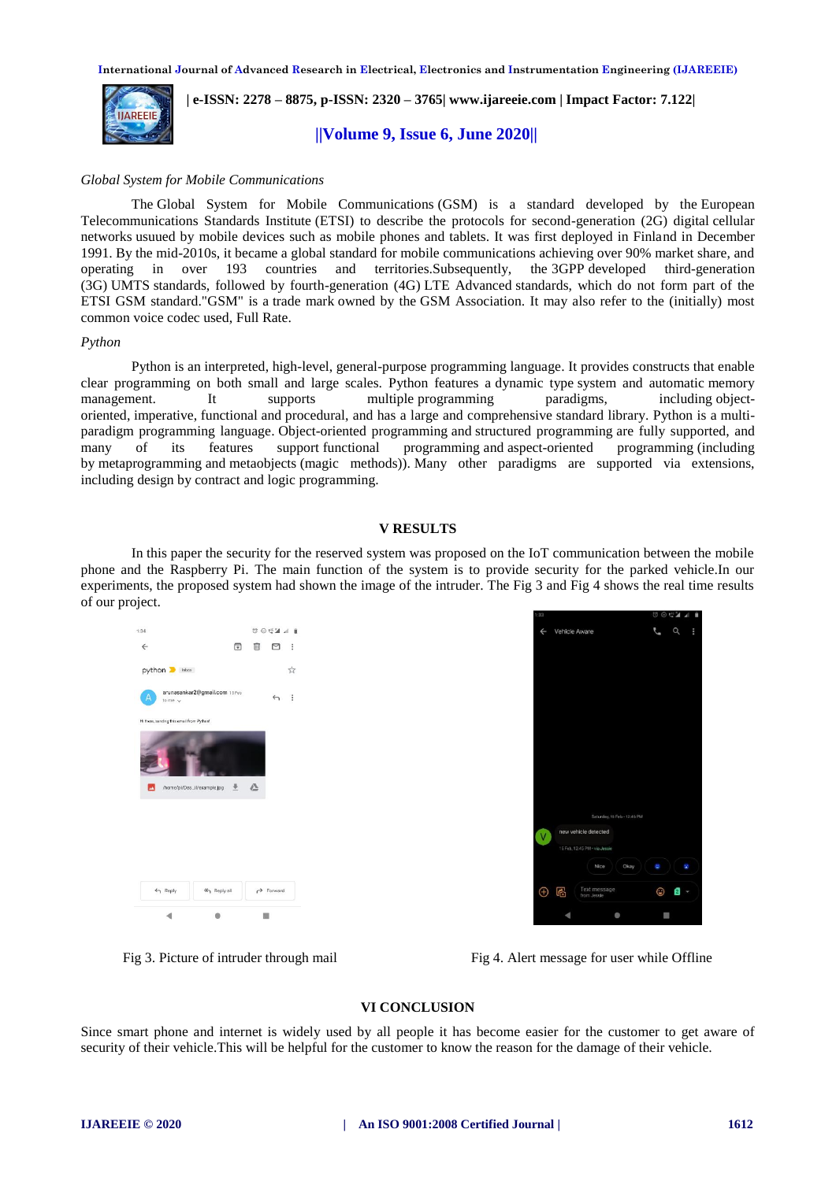

 **| e-ISSN: 2278 – 8875, p-ISSN: 2320 – 3765| [www.ijareeie.com](http://www.ijareeie.com/) | Impact Factor: 7.122|** 

 **||Volume 9, Issue 6, June 2020||** 

## *Global System for Mobile Communications*

The Global System for Mobile Communications (GSM) is a standard developed by the [European](https://en.wikipedia.org/wiki/European_Telecommunications_Standards_Institute)  [Telecommunications Standards Institute](https://en.wikipedia.org/wiki/European_Telecommunications_Standards_Institute) (ETSI) to describe the protocols for second-generation [\(2G\)](https://en.wikipedia.org/wiki/2G) digital [cellular](https://en.wikipedia.org/wiki/Cellular_network)  [networks](https://en.wikipedia.org/wiki/Cellular_network) usuued by mobile devices such as mobile phones and tablets. It was first deployed in Finland in December 1991. By the mid-2010s, it became a global standard for mobile communications achieving over 90% market share, and operating in over 193 countries and territories.Subsequently, the [3GPP](https://en.wikipedia.org/wiki/3GPP) developed third-generation [\(3G\)](https://en.wikipedia.org/wiki/3G) [UMTS](https://en.wikipedia.org/wiki/UMTS) standards, followed by fourth-generation [\(4G\)](https://en.wikipedia.org/wiki/4G) [LTE Advanced](https://en.wikipedia.org/wiki/LTE_Advanced) standards, which do not form part of the ETSI GSM standard."GSM" is a [trade mark](https://en.wikipedia.org/wiki/Trade_mark) owned by the [GSM Association.](https://en.wikipedia.org/wiki/GSM_Association) It may also refer to the (initially) most common voice codec used, [Full Rate.](https://en.wikipedia.org/wiki/Full_Rate)

## *Python*

Python is an [interpreted,](https://en.wikipedia.org/wiki/Interpreted_language) [high-level,](https://en.wikipedia.org/wiki/High-level_programming_language) [general-purpose programming language.](https://en.wikipedia.org/wiki/General-purpose_programming_language) It provides constructs that enable clear programming on both small and large scales. Python features a [dynamic type](https://en.wikipedia.org/wiki/Dynamic_type) system and automatic [memory](https://en.wikipedia.org/wiki/Memory_management)  [management.](https://en.wikipedia.org/wiki/Memory_management) It supports multiple [programming paradigms,](https://en.wikipedia.org/wiki/Programming_paradigm) including [object](https://en.wikipedia.org/wiki/Object-oriented_programming)[oriented,](https://en.wikipedia.org/wiki/Object-oriented_programming) [imperative,](https://en.wikipedia.org/wiki/Imperative_programming) [functional](https://en.wikipedia.org/wiki/Functional_programming) and [procedural,](https://en.wikipedia.org/wiki/Procedural_programming) and has a large and comprehensive [standard library.](https://en.wikipedia.org/wiki/Standard_library) Python is a [multi](https://en.wikipedia.org/wiki/Multi-paradigm_programming_language)[paradigm programming language.](https://en.wikipedia.org/wiki/Multi-paradigm_programming_language) [Object-oriented programming](https://en.wikipedia.org/wiki/Object-oriented_programming) and [structured programming](https://en.wikipedia.org/wiki/Structured_programming) are fully supported, and many of its features support [functional programming](https://en.wikipedia.org/wiki/Functional_programming) and [aspect-oriented programming](https://en.wikipedia.org/wiki/Aspect-oriented_programming) (including by [metaprogramming](https://en.wikipedia.org/wiki/Metaprogramming) and [metaobjects](https://en.wikipedia.org/wiki/Metaobject) (magic methods)). Many other paradigms are supported via extensions, including [design by contract](https://en.wikipedia.org/wiki/Design_by_contract) and [logic programming.](https://en.wikipedia.org/wiki/Logic_programming) 

## **V RESULTS**

In this paper the security for the reserved system was proposed on the IoT communication between the mobile phone and the Raspberry Pi. The main function of the system is to provide security for the parked vehicle.In our experiments, the proposed system had shown the image of the intruder. The Fig 3 and Fig 4 shows the real time results of our project.





Fig 3. Picture of intruder through mail Fig 4. Alert message for user while Offline

#### **VI CONCLUSION**

Since smart phone and internet is widely used by all people it has become easier for the customer to get aware of security of their vehicle.This will be helpful for the customer to know the reason for the damage of their vehicle.